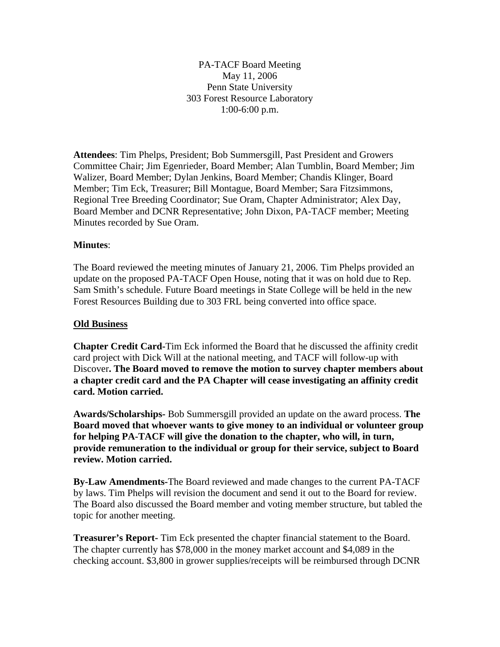PA-TACF Board Meeting May 11, 2006 Penn State University 303 Forest Resource Laboratory 1:00-6:00 p.m.

**Attendees**: Tim Phelps, President; Bob Summersgill, Past President and Growers Committee Chair; Jim Egenrieder, Board Member; Alan Tumblin, Board Member; Jim Walizer, Board Member; Dylan Jenkins, Board Member; Chandis Klinger, Board Member; Tim Eck, Treasurer; Bill Montague, Board Member; Sara Fitzsimmons, Regional Tree Breeding Coordinator; Sue Oram, Chapter Administrator; Alex Day, Board Member and DCNR Representative; John Dixon, PA-TACF member; Meeting Minutes recorded by Sue Oram.

### **Minutes**:

The Board reviewed the meeting minutes of January 21, 2006. Tim Phelps provided an update on the proposed PA-TACF Open House, noting that it was on hold due to Rep. Sam Smith's schedule. Future Board meetings in State College will be held in the new Forest Resources Building due to 303 FRL being converted into office space.

### **Old Business**

**Chapter Credit Card-**Tim Eck informed the Board that he discussed the affinity credit card project with Dick Will at the national meeting, and TACF will follow-up with Discover**. The Board moved to remove the motion to survey chapter members about a chapter credit card and the PA Chapter will cease investigating an affinity credit card. Motion carried.** 

**Awards/Scholarships-** Bob Summersgill provided an update on the award process. **The Board moved that whoever wants to give money to an individual or volunteer group for helping PA-TACF will give the donation to the chapter, who will, in turn, provide remuneration to the individual or group for their service, subject to Board review. Motion carried.** 

**By-Law Amendments-**The Board reviewed and made changes to the current PA-TACF by laws. Tim Phelps will revision the document and send it out to the Board for review. The Board also discussed the Board member and voting member structure, but tabled the topic for another meeting.

**Treasurer's Report-** Tim Eck presented the chapter financial statement to the Board. The chapter currently has \$78,000 in the money market account and \$4,089 in the checking account. \$3,800 in grower supplies/receipts will be reimbursed through DCNR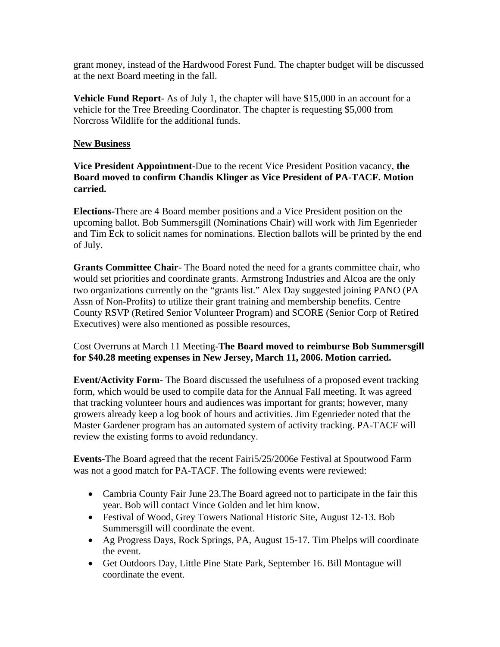grant money, instead of the Hardwood Forest Fund. The chapter budget will be discussed at the next Board meeting in the fall.

**Vehicle Fund Report**- As of July 1, the chapter will have \$15,000 in an account for a vehicle for the Tree Breeding Coordinator. The chapter is requesting \$5,000 from Norcross Wildlife for the additional funds.

## **New Business**

**Vice President Appointment**-Due to the recent Vice President Position vacancy, **the Board moved to confirm Chandis Klinger as Vice President of PA-TACF. Motion carried.** 

**Elections-**There are 4 Board member positions and a Vice President position on the upcoming ballot. Bob Summersgill (Nominations Chair) will work with Jim Egenrieder and Tim Eck to solicit names for nominations. Election ballots will be printed by the end of July.

**Grants Committee Chair**- The Board noted the need for a grants committee chair, who would set priorities and coordinate grants. Armstrong Industries and Alcoa are the only two organizations currently on the "grants list." Alex Day suggested joining PANO (PA Assn of Non-Profits) to utilize their grant training and membership benefits. Centre County RSVP (Retired Senior Volunteer Program) and SCORE (Senior Corp of Retired Executives) were also mentioned as possible resources,

## Cost Overruns at March 11 Meeting-**The Board moved to reimburse Bob Summersgill for \$40.28 meeting expenses in New Jersey, March 11, 2006. Motion carried.**

**Event/Activity Form-** The Board discussed the usefulness of a proposed event tracking form, which would be used to compile data for the Annual Fall meeting. It was agreed that tracking volunteer hours and audiences was important for grants; however, many growers already keep a log book of hours and activities. Jim Egenrieder noted that the Master Gardener program has an automated system of activity tracking. PA-TACF will review the existing forms to avoid redundancy.

**Events-**The Board agreed that the recent Fairi5/25/2006e Festival at Spoutwood Farm was not a good match for PA-TACF. The following events were reviewed:

- Cambria County Fair June 23. The Board agreed not to participate in the fair this year. Bob will contact Vince Golden and let him know.
- Festival of Wood, Grey Towers National Historic Site, August 12-13. Bob Summersgill will coordinate the event.
- Ag Progress Days, Rock Springs, PA, August 15-17. Tim Phelps will coordinate the event.
- Get Outdoors Day, Little Pine State Park, September 16. Bill Montague will coordinate the event.